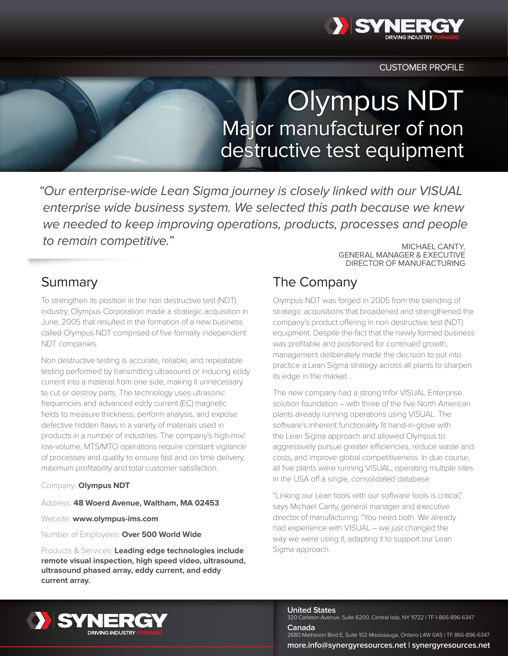

CUSTOMER PROFILE

# Olympus NDT Major manufacturer of non destructive test equipment

"Our enterprise-wide Lean Sigma journey is closely linked with our VISUAL enterprise wide business system. We selected this path because we knew we needed to keep improving operations, products, processes and people to remain competitive." The competitive of the contract of the contract of the contract cantry,

## **Summary**

To strengthen its position in the non destructive test (NDT) industry, Olympus Corporation made a strategic acquisition in June, 2005 that resulted in the formation of a new business called Olympus NDT comprised of five formally independent NDT companies.

Non destructive testing is accurate, reliable, and repeatable testing performed by transmitting ultrasound or inducing eddy current into a material from one side, making it unnecessary to cut or destroy parts. The technology uses ultrasonic frequencies and advanced eddy current (EC) magnetic fields to measure thickness, perform analysis, and expose defective hidden flaws in a variety of materials used in products in a number of industries. The company's high-mix/ low-volume, MTS/MTO operations require constant vigilance of processes and quality to ensure fast and on time delivery, maximum profitability and total customer satisfaction.

### Company: **Olympus NDT**

#### Address: **48 Woerd Avenue, Waltham, MA 02453**

Website: **www.olympus-ims.com** 

Number of Employees: **Over 500 World Wide**

Products & Services: **Leading edge technologies include remote visual inspection, high speed video, ultrasound, ultrasound phased array, eddy current, and eddy current array.**

# The Company

Olympus NDT was forged in 2005 from the blending of strategic acquisitions that broadened and strengthened the company's product offering in non destructive test (NDT) equipment. Despite the fact that the newly formed business was profitable and positioned for continued growth, management deliberately made the decision to put into practice a Lean Sigma strategy across all plants to sharpen its edge in the market.

GENERAL MANAGER & EXECUTIVE DIRECTOR OF MANUFACTURING

The new company had a strong Infor VISUAL Enterprise solution foundation – with three of the five North American plants already running operations using VISUAL. The software's inherent functionality fit hand-in-glove with the Lean Sigma approach and allowed Olympus to aggressively pursue greater efficiencies, reduce waste and costs, and improve global competitiveness. In due course, all five plants were running VISUAL, operating multiple sites in the USA off a single, consolidated database.

"Linking our Lean tools with our software tools is critical," says Michael Canty, general manager and executive director of manufacturing. "You need both. We already had experience with VISUAL – we just changed the way we were using it, adapting it to support our Lean Sigma approach.



**United States**

320 Carleton Avenue, Suite 6200, Central Islip, NY 11722 | TF 1-866-896-6347

**Canada** 2680 Matheson Blvd E, Suite 102 Mississauga, Ontario L4W 0A5 | TF 866-896-6347 **more.info@synergyresources.net | synergyresources.net**